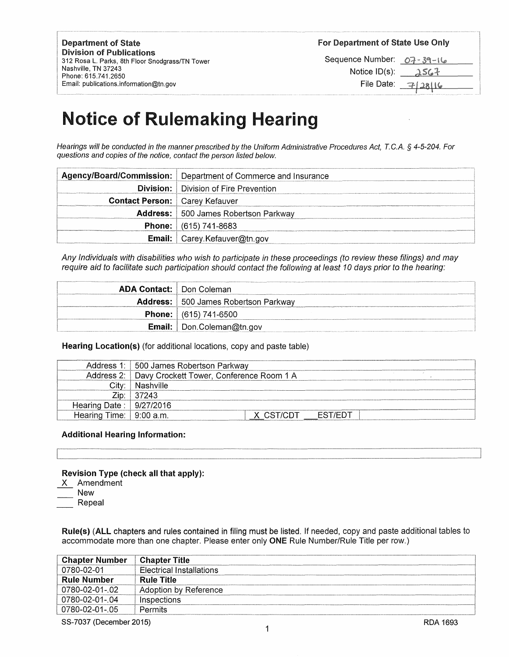Department of State Division of Publications 312 Rosa L. Parks, 8th Floor Snodgrass/TN Tower Nashville, TN 37243 Phone: 615.741.2650 Email: publications.information@tn.gov

For Department of State Use Only

Sequence Number: 07 - 39 - 16 Notice  $ID(s)$ :  $\lambda$ SG7 File Date:

 $7/28116$ 

# Notice of Rulemaking Hearing

Hearings will be conducted in the manner prescribed by the Uniform Administrative Procedures Act, *T.* C.A. *§* 4-5-204. For questions and copies of the notice, contact the person listed below.

|                                       | Agency/Board/Commission:   Department of Commerce and Insurance |
|---------------------------------------|-----------------------------------------------------------------|
|                                       | <b>Division:</b>   Division of Fire Prevention                  |
| <b>Contact Person:</b> Carey Kefauver |                                                                 |
|                                       | <b>Address:</b> 500 James Robertson Parkway                     |
|                                       | <b>Phone:</b> $(615)$ 741-8683                                  |
|                                       | <b>Email:</b> $\bigcap$ Carey. Kefauver@tn.gov                  |

Any Individuals with disabilities who wish to participate in these proceedings (to review these filings) and may require aid to facilitate such participation should contact the following at least 10 days prior to the hearing:

| <b>ADA Contact:</b> Don Coleman |                                             |
|---------------------------------|---------------------------------------------|
|                                 | <b>Address:</b> 500 James Robertson Parkway |
|                                 | <b>Phone:</b> $(615)$ 741-6500              |
|                                 | <b>Email:</b>   Don.Coleman@tn.gov          |

## **Hearing Location(s)** (for additional locations, copy and paste table)

|                                | ddress 1:   500 James Robertson Parkway، |  |  |  |
|--------------------------------|------------------------------------------|--|--|--|
| Address 2: .                   | Davy Crockett Tower, Conference Room 1 A |  |  |  |
|                                | Nashville                                |  |  |  |
|                                | 37243                                    |  |  |  |
| Hearing Date:   9/27/2016      |                                          |  |  |  |
| Hearing Time: $\mid$ 9:00 a.m. |                                          |  |  |  |

## **Additional Hearing Information:**

## **Revision Type (check all that apply):**

- X Amendment
- **New**
- Repeal

**Rule(s) (ALL** chapters and rules contained in filing must be listed. If needed, copy and paste additional tables to

| accommodate more than one chapter. Please enter only <b>ONE</b> Rule Number/Rule Title per row.) |                                 |  |
|--------------------------------------------------------------------------------------------------|---------------------------------|--|
| <b>Chapter Number</b>                                                                            | <b>Chapter Title</b>            |  |
| 0780-02-01                                                                                       | <b>Flectrical Installations</b> |  |
| <b>Rule Number</b>                                                                               | <b>Rule Title</b>               |  |
| 0780-02-01- 02                                                                                   | Adoption by Reference           |  |
| 0780-02-01-.04                                                                                   | Inspections                     |  |
| 0780-02-01-05                                                                                    | Permits                         |  |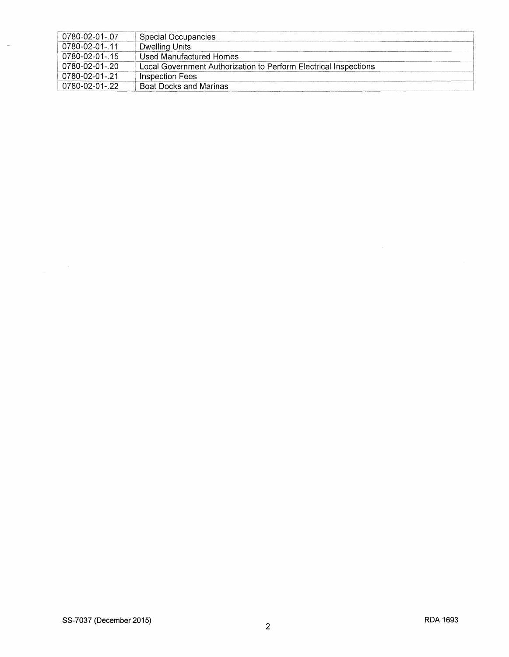| 0780-02-01-07         | Special Occupancies                                              |
|-----------------------|------------------------------------------------------------------|
| 0780-02-01- 11        | Dwelling Units                                                   |
| $0780 - 02 - 01 - 15$ | Used Manufactured Homes                                          |
| 0780-02-01- 20        | Local Government Authorization to Perform Electrical Inspections |
| 0780-02-01- 21        | Inspection Fees                                                  |
| 780-02-01- 22         | <b>Boat Docks and Marinas</b>                                    |

 $\hat{\mathcal{L}}$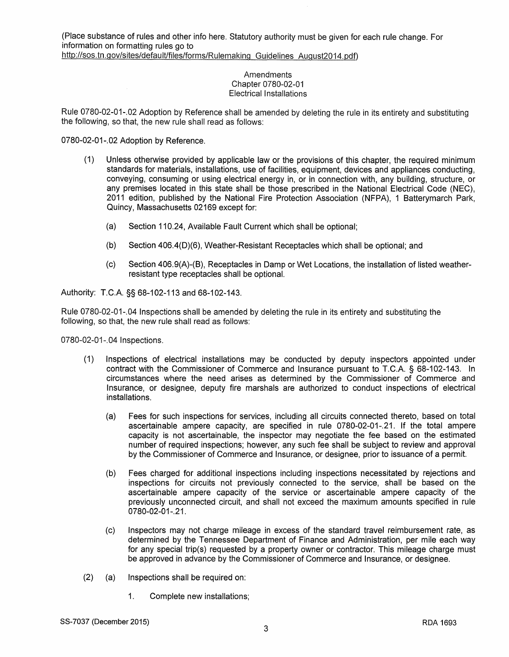### **Amendments** Chapter 0780-02-01 Electrical Installations

Rule 0780-02-01-.02 Adoption by Reference shall be amended by deleting the rule in its entirety and substituting the following, so that, the new rule shall read as follows:

0780-02-01-.02 Adoption by Reference.

- (1) Unless otherwise provided by applicable law or the provisions of this chapter, the required minimum standards for materials, installations, use of facilities, equipment, devices and appliances conducting, conveying, consuming or using electrical energy in, or in connection with, any building, structure, or any premises located in this state shall be those prescribed in the National Electrical Code (NEC), 2011 edition, published by the National Fire Protection Association (NFPA), 1 Batterymarch Park, Quincy, Massachusetts 02169 except for:
	- (a) Section 110.24, Available Fault Current which shall be optional;
	- (b) Section 406.4(0)(6), Weather-Resistant Receptacles which shall be optional; and
	- (c) Section 406.9(A)-(B), Receptacles in Damp or Wet Locations, the installation of listed weatherresistant type receptacles shall be optional.

Authority: TC.A §§ 68-102-113 and 68-102-143.

Rule 0780-02-01-.04 Inspections shall be amended by deleting the rule in its entirety and substituting the following, so that, the new rule shall read as follows:

0780-02-01-.04 Inspections.

- (1) Inspections of electrical installations may be conducted by deputy inspectors appointed under contract with the Commissioner of Commerce and Insurance pursuant to TC.A § 68-102-143. In circumstances where the need arises as determined by the Commissioner of Commerce and Insurance, or designee, deputy fire marshals are authorized to conduct inspections of electrical installations.
	- (a) Fees for such inspections for services, including all circuits connected thereto, based on total ascertainable ampere capacity, are specified in rule 0780-02-01-.21. If the total ampere capacity is not ascertainable, the inspector may negotiate the fee based on the estimated number of required inspections; however, any such fee shall be subject to review and approval by the Commissioner of Commerce and Insurance, or designee, prior to issuance of a permit.
	- (b) Fees charged for additional inspections including inspections necessitated by rejections and inspections for circuits not previously connected to the service, shall be based on the ascertainable ampere capacity of the service or ascertainable ampere capacity of the previously unconnected circuit, and shall not exceed the maximum amounts specified in rule 0780-02-01-.21.
	- (c) Inspectors may not charge mileage in excess of the standard travel reimbursement rate, as determined by the Tennessee Department of Finance and Administration, per mile each way for any special trip(s) requested by a property owner or contractor. This mileage charge must be approved in advance by the Commissioner of Commerce and Insurance, or designee.
- (2) (a) Inspections shall be required on:
	- 1. Complete new installations;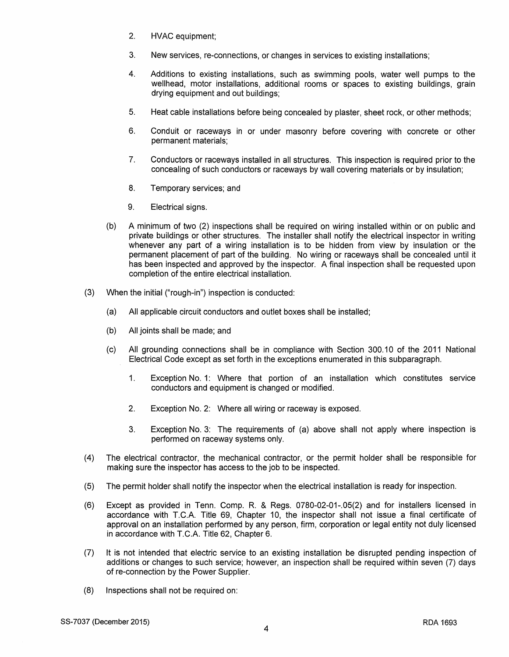- 2. HVAC equipment;
- 3. New services, re-connections, or changes in services to existing installations;
- 4. Additions to existing installations, such as swimming pools, water well pumps to the wellhead, motor installations, additional rooms or spaces to existing buildings, grain drying equipment and out buildings;
- 5. Heat cable installations before being concealed by plaster, sheet rock, or other methods;
- 6. Conduit or raceways in or under masonry before covering with concrete or other permanent materials;
- 7. Conductors or raceways installed in all structures. This inspection is required prior to the concealing of such conductors or raceways by wall covering materials or by insulation;
- 8. Temporary services; and
- 9. Electrical signs.
- (b) A minimum of two (2) inspections shall be required on wiring installed within or on public and private buildings or other structures. The installer shall notify the electrical inspector in writing whenever any part of a wiring installation is to be hidden from view by insulation or the permanent placement of part of the building. No wiring or raceways shall be concealed until it has been inspected and approved by the inspector. A final inspection shall be requested upon completion of the entire electrical installation.
- (3) When the initial ("rough-in") inspection is conducted:
	- (a) All applicable circuit conductors and outlet boxes shall be installed;
	- (b) All joints shall be made; and
	- (c) All grounding connections shall be in compliance with Section 300.10 of the 2011 National Electrical Code except as set forth in the exceptions enumerated in this subparagraph.
		- 1. Exception No. 1: Where that portion of an installation which constitutes service conductors and equipment is changed or modified.
		- 2. Exception No. 2: Where all wiring or raceway is exposed.
		- 3. Exception No. 3: The requirements of (a) above shall not apply where inspection is performed on raceway systems only.
- (4) The electrical contractor, the mechanical contractor, or the permit holder shall be responsible for making sure the inspector has access to the job to be inspected.
- (5) The permit holder shall notify the inspector when the electrical installation is ready for inspection.
- (6) Except as provided in Tenn. Comp. R. & Regs. 0780-02-01-.05(2) and for installers licensed in accordance with T.C.A. Title 69, Chapter 10, the inspector shall not issue a final certificate of approval on an installation performed by any person, firm, corporation or legal entity not duly licensed in accordance with T.C.A. Title 62, Chapter 6.
- (7) It is not intended that electric service to an existing installation be disrupted pending inspection of additions or changes to such service; however, an inspection shall be required within seven (7) days of re-connection by the Power Supplier.
- (8) Inspections shall not be required on: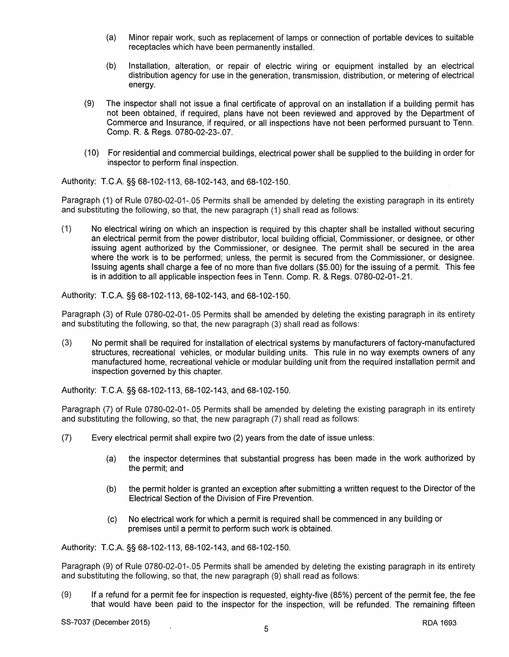- (a) Minor repair work, such as replacement of lamps or connection of portable devices to suitable receptacles which have been permanently installed.
- (b) Installation, alteration, or repair of electric wiring or equipment installed by an electrical distribution agency for use in the generation, transmission, distribution, or metering of electrical energy.
- (9) The inspector shall not issue a final certificate of approval on an installation if a building permit has not been obtained, if required, plans have not been reviewed and approved by the Department of Commerce and Insurance, if required, or all inspections have not been performed pursuant to Tenn. Comp. R. & Regs. 0780-02-23-.07.
- (10) For residential and commercial buildings, electrical power shall be supplied to the building in order for inspector to perform final inspection.

Authority: T.C.A. §§ 68-102-113, 68-102-143, and 68-102-150.

Paragraph (1) of Rule 0780-02-01-.05 Permits shall be amended by deleting the existing paragraph in its entirety and substituting the following, so that, the new paragraph (1) shall read as follows:

(1) No electrical wiring on which an inspection is required by this chapter shall be installed without securing an electrical permit from the power distributor, local building official, Commissioner, or designee, or other issuing agent authorized by the Commissioner, or designee. The permit shall be secured in the area where the work is to be performed; unless, the permit is secured from the Commissioner, or designee. Issuing agents shall charge a fee of no more than five dollars (\$5. 00) for the issuing of a permit. This fee is in addition to all applicable inspection fees in Tenn. Comp. R. & Regs. 0780-02-01-.21.

Authority: T.C.A. §§ 68-102-113, 68-102-143, and 68-102-150.

Paragraph (3) of Rule 0780-02-01-.05 Permits shall be amended by deleting the existing paragraph in its entirety and substituting the following, so that, the new paragraph (3) shall read as follows:

(3) No permit shall be required for installation of electrical systems by manufacturers of factory-manufactured structures, recreational vehicles, or modular building units. This rule in no way exempts owners of any manufactured home, recreational vehicle or modular building unit from the required installation permit and inspection governed by this chapter.

Authority: T.C.A. §§ 68-102-113, 68-102-143, and 68-102-150.

Paragraph (7) of Rule 0780-02-01-.05 Permits shall be amended by deleting the existing paragraph in its entirety and substituting the following, so that, the new paragraph (7) shall read as follows:

- (7) Every electrical permit shall expire two (2) years from the date of issue unless:
	- (a) the inspector determines that substantial progress has been made in the work authorized by the permit; and
	- (b) the permit holder is granted an exception after submitting a written request to the Director of the Electrical Section of the Division of Fire Prevention.
	- (c) No electrical work for which a permit is required shall be commenced in any building or premises until a permit to perform such work is obtained.

Authority: T.C.A. §§ 68-102-113, 68-102-143, and 68-102-150.

Paragraph (9) of Rule 0780-02-01-.05 Permits shall be amended by deleting the existing paragraph in its entirety and substituting the following, so that, the new paragraph (9) shall read as follows:

(9) If a refund for a permit fee for inspection is requested, eighty-five (85%) percent of the permit fee, the fee that would have been paid to the inspector for the inspection, will be refunded. The remaining fifteen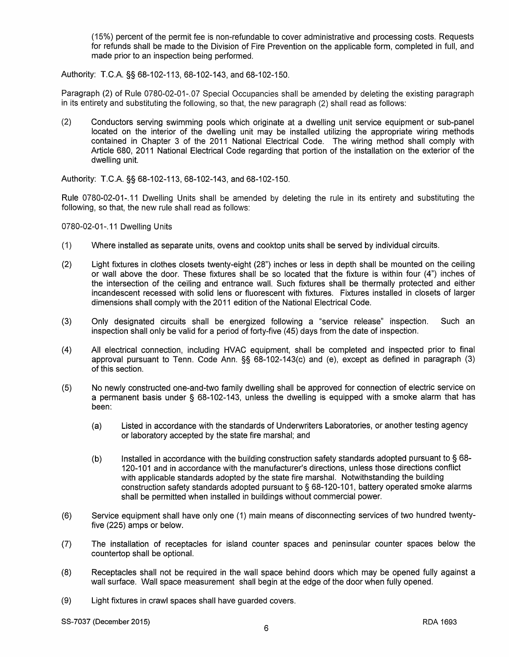( 15%) percent of the permit fee is non-refundable to cover administrative and processing costs. Requests for refunds shall be made to the Division of Fire Prevention on the applicable form, completed in full, and made prior to an inspection being performed.

Authority: T.C.A. §§ 68-102-113, 68-102-143, and 68-102-150.

Paragraph (2) of Rule 0780-02-01-.07 Special Occupancies shall be amended by deleting the existing paragraph in its entirety and substituting the following, so that, the new paragraph (2) shall read as follows:

(2) Conductors serving swimming pools which originate at a dwelling unit service equipment or sub-panel located on the interior of the dwelling unit may be installed utilizing the appropriate wiring methods contained in Chapter 3 of the 2011 National Electrical Code. The wiring method shall comply with Article 680, 2011 National Electrical Code regarding that portion of the installation on the exterior of the dwelling unit.

Authority: T.C.A. §§ 68-102-113, 68-102-143, and 68-102-150.

Rule 0780-02-01-.11 Dwelling Units shall be amended by deleting the rule in its entirety and substituting the following, so that, the new rule shall read as follows:

0780-02-01-.11 Dwelling Units

- (1) Where installed as separate units, ovens and cooktop units shall be served by individual circuits.
- (2) Light fixtures in clothes closets twenty-eight (28") inches or less in depth shall be mounted on the ceiling or wall above the door. These fixtures shall be so located that the fixture is within four (4") inches of the intersection of the ceiling and entrance wall. Such fixtures shall be thermally protected and either incandescent recessed with solid lens or fluorescent with fixtures. Fixtures installed in closets of larger dimensions shall comply with the 2011 edition of the National Electrical Code.
- (3) Only designated circuits shall be energized following a "service release" inspection. Such an inspection shall only be valid for a period of forty-five (45) days from the date of inspection.
- (4) All electrical connection, including HVAC equipment, shall be completed and inspected prior to final approval pursuant to Tenn. Code Ann. §§ 68-102-143(c) and (e), except as defined in paragraph (3) of this section.
- (5) No newly constructed one-and-two family dwelling shall be approved for connection of electric service on a permanent basis under § 68-102-143, unless the dwelling is equipped with a smoke alarm that has been:
	- (a) Listed in accordance with the standards of Underwriters Laboratories, or another testing agency or laboratory accepted by the state fire marshal; and
	- (b) Installed in accordance with the building construction safety standards adopted pursuant to§ 68- 120-101 and in accordance with the manufacturer's directions, unless those directions conflict with applicable standards adopted by the state fire marshal. Notwithstanding the building construction safety standards adopted pursuant to§ 68-120-101, battery operated smoke alarms shall be permitted when installed in buildings without commercial power.
- (6) Service equipment shall have only one (1) main means of disconnecting services of two hundred twentyfive (225) amps or below.
- (7) The installation of receptacles for island counter spaces and peninsular counter spaces below the countertop shall be optional.
- (8) Receptacles shall not be required in the wall space behind doors which may be opened fully against a wall surface. Wall space measurement shall begin at the edge of the door when fully opened.
- (9) Light fixtures in crawl spaces shall have guarded covers.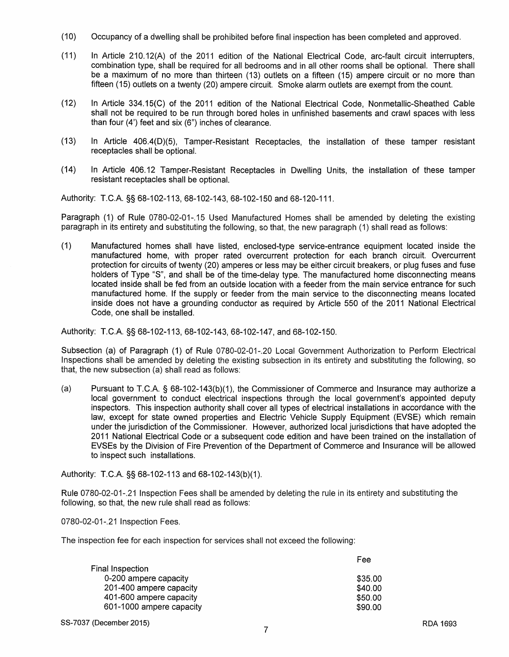- (10) Occupancy of a dwelling shall be prohibited before final inspection has been completed and approved.
- (11) In Article 210.12(A) of the 2011 edition of the National Electrical Code, arc-fault circuit interrupters, combination type, shall be required for all bedrooms and in all other rooms shall be optional. There shall be a maximum of no more than thirteen (13) outlets on a fifteen (15) ampere circuit or no more than fifteen (15) outlets on a twenty (20) ampere circuit. Smoke alarm outlets are exempt from the count.
- (12) In Article 334.15(C) of the 2011 edition of the National Electrical Code, Nonmetallic-Sheathed Cable shall not be required to be run through bored holes in unfinished basements and crawl spaces with less than four (4') feet and six (6") inches of clearance.
- (13) In Article 406.4(0)(5), Tamper-Resistant Receptacles, the installation of these tamper resistant receptacles shall be optional.
- (14) In Article 406.12 Tamper-Resistant Receptacles in Dwelling Units, the installation of these tamper resistant receptacles shall be optional.

Authority: T.C.A. §§ 68-102-113, 68-102-143, 68-102-150 and 68-120-111.

Paragraph (1) of Rule 0780-02-01-. 15 Used Manufactured Homes shall be amended by deleting the existing paragraph in its entirety and substituting the following, so that, the new paragraph (1) shall read as follows:

(1) Manufactured homes shall have listed, enclosed-type service-entrance equipment located inside the manufactured home, with proper rated overcurrent protection for each branch circuit. Overcurrent protection for circuits of twenty (20) amperes or less may be either circuit breakers, or plug fuses and fuse holders of Type "S", and shall be of the time-delay type. The manufactured home disconnecting means located inside shall be fed from an outside location with a feeder from the main service entrance for such manufactured home. If the supply or feeder from the main service to the disconnecting means located inside does not have a grounding conductor as required by Article 550 of the 2011 National Electrical Code, one shall be installed.

Authority: T.C.A. §§ 68-102-113, 68-102-143, 68-102-147, and 68-102-150.

Subsection (a) of Paragraph (1) of Rule 0780-02-01-.20 Local Government Authorization to Perform Electrical Inspections shall be amended by deleting the existing subsection in its entirety and substituting the following, so that, the new subsection (a) shall read as follows:

(a) Pursuant to TC.A. § 68-102-143(b)(1), the Commissioner of Commerce and Insurance may authorize a local government to conduct electrical inspections through the local government's appointed deputy inspectors. This inspection authority shall cover all types of electrical installations in accordance with the law, except for state owned properties and Electric Vehicle Supply Equipment (EVSE) which remain under the jurisdiction of the Commissioner. However, authorized local jurisdictions that have adopted the 2011 National Electrical Code or a subsequent code edition and have been trained on the installation of EVSEs by the Division of Fire Prevention of the Department of Commerce and Insurance will be allowed to inspect such installations.

Authority: T.C.A. §§ 68-102-113 and 68-102-143(b)(1 ).

Rule 0780-02-01-.21 Inspection Fees shall be amended by deleting the rule in its entirety and substituting the following, so that, the new rule shall read as follows:

0780-02-01-.21 Inspection Fees.

The inspection fee for each inspection for services shall not exceed the following:

|                          | Fee     |
|--------------------------|---------|
| Final Inspection         |         |
| 0-200 ampere capacity    | \$35.00 |
| 201-400 ampere capacity  | \$40.00 |
| 401-600 ampere capacity  | \$50.00 |
| 601-1000 ampere capacity | \$90.00 |
|                          |         |

SS-7037 (December 2015)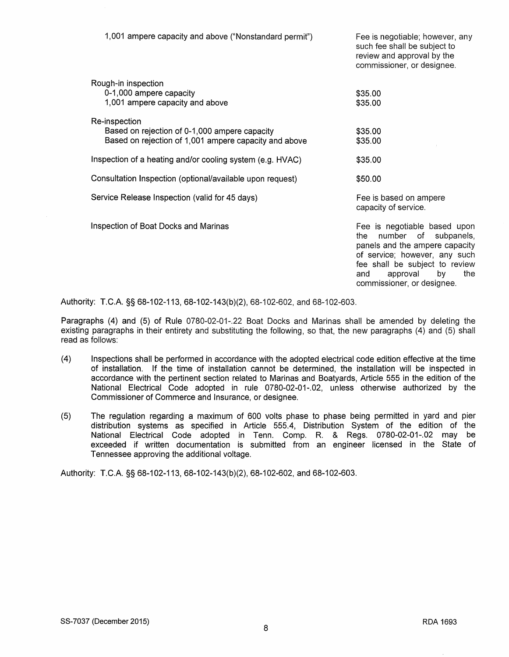1,001 ampere capacity and above ("Nonstandard permit") Rough-in inspection 0-1,000 ampere capacity 1,001 ampere capacity and above Re-inspection Based on rejection of 0-1,000 ampere capacity Based on rejection of 1,001 ampere capacity and above Inspection of a heating and/or cooling system (e.g. HVAC) Consultation Inspection (optional/available upon request) Service Release Inspection (valid for 45 days) Inspection of Boat Docks and Marinas Fee is negotiable; however, any such fee shall be subject to review and approval by the commissioner, or designee. \$35.00 \$35.00 \$35.00 \$35.00 \$35.00 \$50.00 Fee is based on ampere capacity of service. Fee is negotiable based upon the number of subpanels, panels and the ampere capacity of service; however, any such fee shall be subject to review<br>and approval by the and approval by

Authority: TC.A §§ 68-102-113, 68-102-143(b)(2), 68-102-602, and 68-102-603.

Paragraphs (4) and (5) of Rule 0780-02-01-.22 Boat Docks and Marinas shall be amended by deleting the existing paragraphs in their entirety and substituting the following, so that, the new paragraphs (4) and (5) shall read as follows:

- (4) Inspections shall be performed in accordance with the adopted electrical code edition effective at the time of installation. If the time of installation cannot be determined, the installation will be inspected in accordance with the pertinent section related to Marinas and Boatyards, Article 555 in the edition of the National Electrical Code adopted in rule 0780-02-01-.02, unless otherwise authorized by the Commissioner of Commerce and Insurance, or designee.
- (5) The regulation regarding a maximum of 600 volts phase to phase being permitted in yard and pier distribution systems as specified in Article 555.4, Distribution System of the edition of the National Electrical Code adopted in Tenn. Comp. R. & Regs. 0780-02-01-.02 may be exceeded if written documentation is submitted from an engineer licensed in the State of Tennessee approving the additional voltage.

Authority: TC.A §§ 68-102-113, 68-102-143(b)(2), 68-102-602, and 68-102-603.

commissioner, or designee.